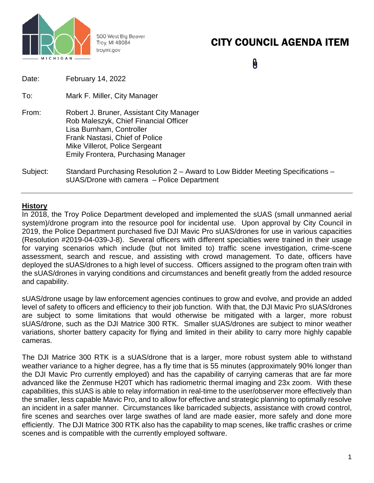

500 West Big Beaver Troy, MI 48084 troymi.gov

# CITY COUNCIL AGENDA ITEM

0

- To: Mark F. Miller, City Manager
- From: Robert J. Bruner, Assistant City Manager Rob Maleszyk, Chief Financial Officer Lisa Burnham, Controller Frank Nastasi, Chief of Police Mike Villerot, Police Sergeant Emily Frontera, Purchasing Manager
- Subject: Standard Purchasing Resolution 2 Award to Low Bidder Meeting Specifications sUAS/Drone with camera – Police Department

### **History**

In 2018, the Troy Police Department developed and implemented the sUAS (small unmanned aerial system)/drone program into the resource pool for incidental use. Upon approval by City Council in 2019, the Police Department purchased five DJI Mavic Pro sUAS/drones for use in various capacities (Resolution #2019-04-039-J-8). Several officers with different specialties were trained in their usage for varying scenarios which include (but not limited to) traffic scene investigation, crime-scene assessment, search and rescue, and assisting with crowd management. To date, officers have deployed the sUAS/drones to a high level of success. Officers assigned to the program often train with the sUAS/drones in varying conditions and circumstances and benefit greatly from the added resource and capability.

sUAS/drone usage by law enforcement agencies continues to grow and evolve, and provide an added level of safety to officers and efficiency to their job function. With that, the DJI Mavic Pro sUAS/drones are subject to some limitations that would otherwise be mitigated with a larger, more robust sUAS/drone, such as the DJI Matrice 300 RTK. Smaller sUAS/drones are subject to minor weather variations, shorter battery capacity for flying and limited in their ability to carry more highly capable cameras.

The DJI Matrice 300 RTK is a sUAS/drone that is a larger, more robust system able to withstand weather variance to a higher degree, has a fly time that is 55 minutes (approximately 90% longer than the DJI Mavic Pro currently employed) and has the capability of carrying cameras that are far more advanced like the Zenmuse H20T which has radiometric thermal imaging and 23x zoom. With these capabilities, this sUAS is able to relay information in real-time to the user/observer more effectively than the smaller, less capable Mavic Pro, and to allow for effective and strategic planning to optimally resolve an incident in a safer manner. Circumstances like barricaded subjects, assistance with crowd control, fire scenes and searches over large swathes of land are made easier, more safely and done more efficiently. The DJI Matrice 300 RTK also has the capability to map scenes, like traffic crashes or crime scenes and is compatible with the currently employed software.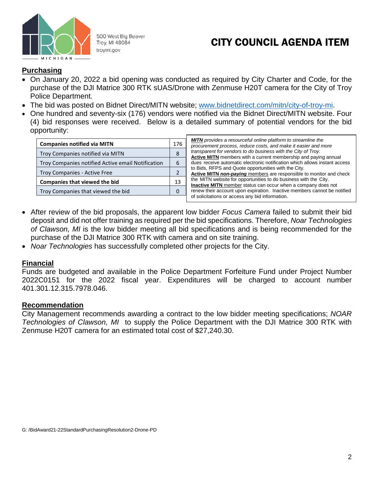

500 West Big Beaver Troy, MI 48084 troymi.gov

## CITY COUNCIL AGENDA ITEM

#### **Purchasing**

- On January 20, 2022 a bid opening was conducted as required by City Charter and Code, for the purchase of the DJI Matrice 300 RTK sUAS/Drone with Zenmuse H20T camera for the City of Troy Police Department.
- The bid was posted on Bidnet Direct/MITN website; [www.bidnetdirect.com/mitn/city-of-troy-mi.](http://www.bidnetdirect.com/mitn/city-of-troy-mi)
- One hundred and seventy-six (176) vendors were notified via the Bidnet Direct/MITN website. Four (4) bid responses were received. Below is a detailed summary of potential vendors for the bid opportunity:

| <b>Companies notified via MITN</b>                |  |  |  |  |  |
|---------------------------------------------------|--|--|--|--|--|
| Troy Companies notified via MITN                  |  |  |  |  |  |
| Troy Companies notified Active email Notification |  |  |  |  |  |
| <b>Troy Companies - Active Free</b>               |  |  |  |  |  |
| <b>Companies that viewed the bid</b>              |  |  |  |  |  |
| Troy Companies that viewed the bid                |  |  |  |  |  |

| <b>MITN</b> provides a resourceful online platform to streamline the       |
|----------------------------------------------------------------------------|
| procurement process, reduce costs, and make it easier and more             |
| transparent for vendors to do business with the City of Troy.              |
| Active MITN members with a current membership and paying annual            |
| dues receive automatic electronic notification which allows instant access |
| to Bids, RFPS and Quote opportunities with the City.                       |
| Active MITN non-paying members are responsible to monitor and check        |
| the MITN website for opportunities to do business with the City.           |
| <b>Inactive MITN</b> member status can occur when a company does not       |
| renew their account upon expiration. Inactive members cannot be notified   |
| of solicitations or access any bid information.                            |

- After review of the bid proposals, the apparent low bidder *Focus Camera* failed to submit their bid deposit and did not offer training as required per the bid specifications. Therefore, *Noar Technologies of Clawson, MI* is the low bidder meeting all bid specifications and is being recommended for the purchase of the DJI Matrice 300 RTK with camera and on site training.
- *Noar Technologies* has successfully completed other projects for the City.

### **Financial**

Funds are budgeted and available in the Police Department Forfeiture Fund under Project Number 2022C0151 for the 2022 fiscal year. Expenditures will be charged to account number 401.301.12.315.7978.046.

### **Recommendation**

City Management recommends awarding a contract to the low bidder meeting specifications; *NOAR Technologies of Clawson, MI* to supply the Police Department with the DJI Matrice 300 RTK with Zenmuse H20T camera for an estimated total cost of \$27,240.30.